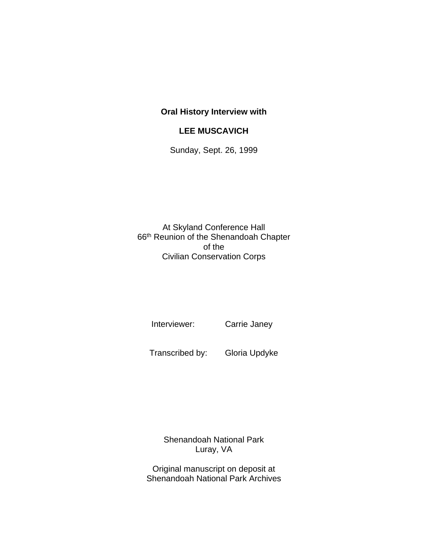## **Oral History Interview with**

## **LEE MUSCAVICH**

Sunday, Sept. 26, 1999

At Skyland Conference Hall 66th Reunion of the Shenandoah Chapter of the Civilian Conservation Corps

Interviewer: Carrie Janey

Transcribed by: Gloria Updyke

Shenandoah National Park Luray, VA

Original manuscript on deposit at Shenandoah National Park Archives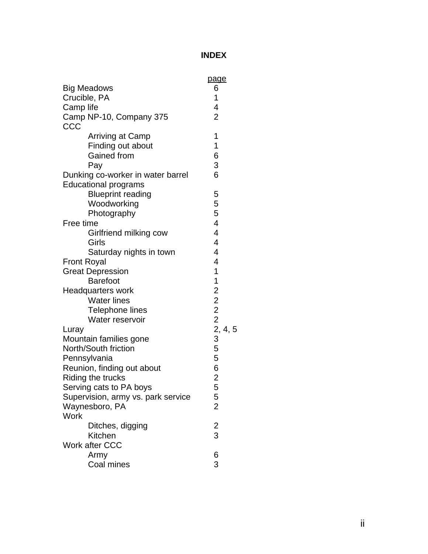## **INDEX**

|                                    | page                                                                         |
|------------------------------------|------------------------------------------------------------------------------|
| <b>Big Meadows</b>                 | 6                                                                            |
| Crucible, PA                       | 1                                                                            |
| Camp life                          | 4<br>$\overline{2}$                                                          |
| Camp NP-10, Company 375<br>CCC     |                                                                              |
| <b>Arriving at Camp</b>            | 1                                                                            |
| Finding out about                  | 1                                                                            |
| <b>Gained from</b>                 | 6                                                                            |
| Pay                                | 3                                                                            |
| Dunking co-worker in water barrel  | 6                                                                            |
| <b>Educational programs</b>        |                                                                              |
| <b>Blueprint reading</b>           | 5                                                                            |
| Woodworking                        | 5                                                                            |
| Photography                        | 5                                                                            |
| Free time                          | 4                                                                            |
| Girlfriend milking cow             | $\overline{\mathcal{L}}$                                                     |
| Girls                              | $\overline{\mathcal{L}}$                                                     |
| Saturday nights in town            | $\overline{4}$                                                               |
| <b>Front Royal</b>                 | 4                                                                            |
| <b>Great Depression</b>            | 1                                                                            |
| <b>Barefoot</b>                    | $\begin{array}{c} 1 \ 1 \ 2 \ 2 \ 2 \ 2 \ 2 \ 2 \ 2 \ 3 \ 4 \ 3 \end{array}$ |
| Headquarters work                  |                                                                              |
| <b>Water lines</b>                 |                                                                              |
| Telephone lines                    |                                                                              |
| Water reservoir                    |                                                                              |
| Luray                              |                                                                              |
| Mountain families gone             |                                                                              |
| North/South friction               | 5                                                                            |
| Pennsylvania                       | 5                                                                            |
| Reunion, finding out about         | 6                                                                            |
| Riding the trucks                  | $\overline{c}$                                                               |
| Serving cats to PA boys            | 5                                                                            |
| Supervision, army vs. park service | $\frac{5}{2}$                                                                |
| Waynesboro, PA                     |                                                                              |
| <b>Work</b>                        |                                                                              |
| Ditches, digging                   | $\frac{2}{3}$                                                                |
| Kitchen                            |                                                                              |
| <b>Work after CCC</b>              |                                                                              |
| Army                               | 6                                                                            |
| Coal mines                         | 3                                                                            |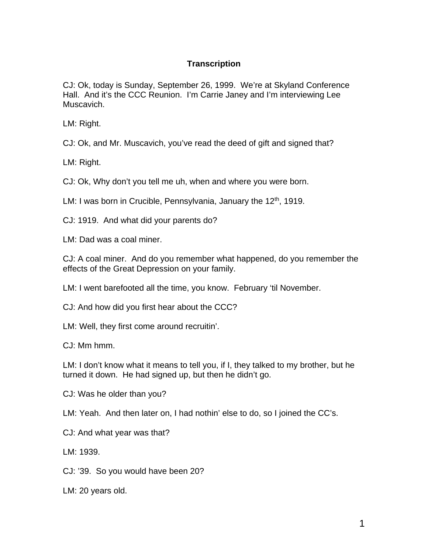## **Transcription**

CJ: Ok, today is Sunday, September 26, 1999. We're at Skyland Conference Hall. And it's the CCC Reunion. I'm Carrie Janey and I'm interviewing Lee Muscavich.

LM: Right.

CJ: Ok, and Mr. Muscavich, you've read the deed of gift and signed that?

LM: Right.

CJ: Ok, Why don't you tell me uh, when and where you were born.

LM: I was born in Crucible, Pennsylvania, January the  $12<sup>th</sup>$ , 1919.

CJ: 1919. And what did your parents do?

LM: Dad was a coal miner.

CJ: A coal miner. And do you remember what happened, do you remember the effects of the Great Depression on your family.

LM: I went barefooted all the time, you know. February 'til November.

CJ: And how did you first hear about the CCC?

LM: Well, they first come around recruitin'.

CJ: Mm hmm.

LM: I don't know what it means to tell you, if I, they talked to my brother, but he turned it down. He had signed up, but then he didn't go.

CJ: Was he older than you?

LM: Yeah. And then later on, I had nothin' else to do, so I joined the CC's.

CJ: And what year was that?

LM: 1939.

CJ: '39. So you would have been 20?

LM: 20 years old.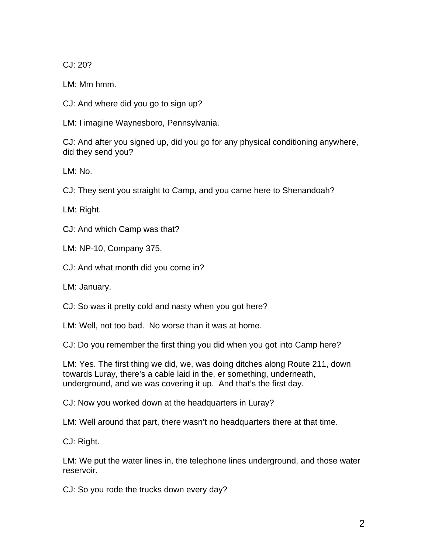CJ: 20?

LM: Mm hmm.

CJ: And where did you go to sign up?

LM: I imagine Waynesboro, Pennsylvania.

CJ: And after you signed up, did you go for any physical conditioning anywhere, did they send you?

LM: No.

CJ: They sent you straight to Camp, and you came here to Shenandoah?

LM: Right.

CJ: And which Camp was that?

LM: NP-10, Company 375.

CJ: And what month did you come in?

LM: January.

CJ: So was it pretty cold and nasty when you got here?

LM: Well, not too bad. No worse than it was at home.

CJ: Do you remember the first thing you did when you got into Camp here?

LM: Yes. The first thing we did, we, was doing ditches along Route 211, down towards Luray, there's a cable laid in the, er something, underneath, underground, and we was covering it up. And that's the first day.

CJ: Now you worked down at the headquarters in Luray?

LM: Well around that part, there wasn't no headquarters there at that time.

CJ: Right.

LM: We put the water lines in, the telephone lines underground, and those water reservoir.

CJ: So you rode the trucks down every day?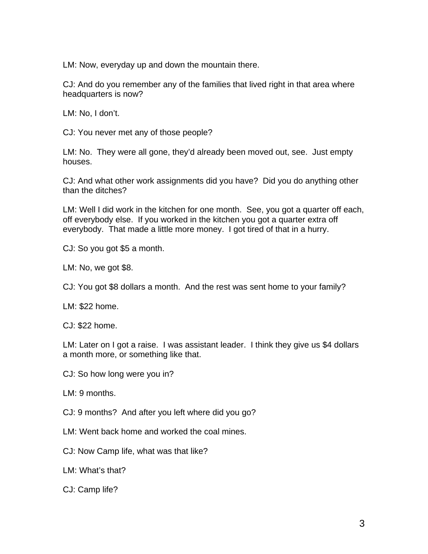LM: Now, everyday up and down the mountain there.

CJ: And do you remember any of the families that lived right in that area where headquarters is now?

LM: No, I don't.

CJ: You never met any of those people?

LM: No. They were all gone, they'd already been moved out, see. Just empty houses.

CJ: And what other work assignments did you have? Did you do anything other than the ditches?

LM: Well I did work in the kitchen for one month. See, you got a quarter off each, off everybody else. If you worked in the kitchen you got a quarter extra off everybody. That made a little more money. I got tired of that in a hurry.

CJ: So you got \$5 a month.

LM: No, we got \$8.

CJ: You got \$8 dollars a month. And the rest was sent home to your family?

LM: \$22 home.

CJ: \$22 home.

LM: Later on I got a raise. I was assistant leader. I think they give us \$4 dollars a month more, or something like that.

CJ: So how long were you in?

LM: 9 months.

CJ: 9 months? And after you left where did you go?

LM: Went back home and worked the coal mines.

CJ: Now Camp life, what was that like?

LM: What's that?

CJ: Camp life?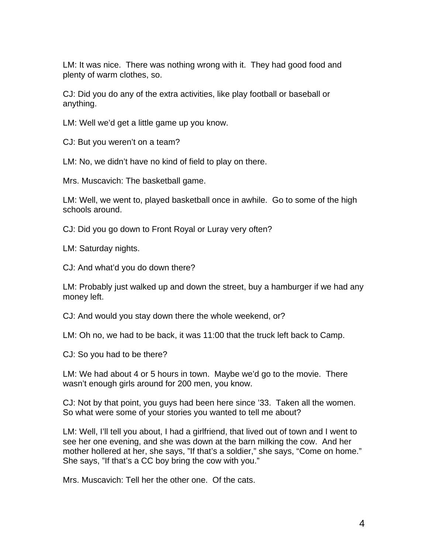LM: It was nice. There was nothing wrong with it. They had good food and plenty of warm clothes, so.

CJ: Did you do any of the extra activities, like play football or baseball or anything.

LM: Well we'd get a little game up you know.

CJ: But you weren't on a team?

LM: No, we didn't have no kind of field to play on there.

Mrs. Muscavich: The basketball game.

LM: Well, we went to, played basketball once in awhile. Go to some of the high schools around.

CJ: Did you go down to Front Royal or Luray very often?

LM: Saturday nights.

CJ: And what'd you do down there?

LM: Probably just walked up and down the street, buy a hamburger if we had any money left.

CJ: And would you stay down there the whole weekend, or?

LM: Oh no, we had to be back, it was 11:00 that the truck left back to Camp.

CJ: So you had to be there?

LM: We had about 4 or 5 hours in town. Maybe we'd go to the movie. There wasn't enough girls around for 200 men, you know.

CJ: Not by that point, you guys had been here since '33. Taken all the women. So what were some of your stories you wanted to tell me about?

LM: Well, I'll tell you about, I had a girlfriend, that lived out of town and I went to see her one evening, and she was down at the barn milking the cow. And her mother hollered at her, she says, "If that's a soldier," she says, "Come on home." She says, "If that's a CC boy bring the cow with you."

Mrs. Muscavich: Tell her the other one. Of the cats.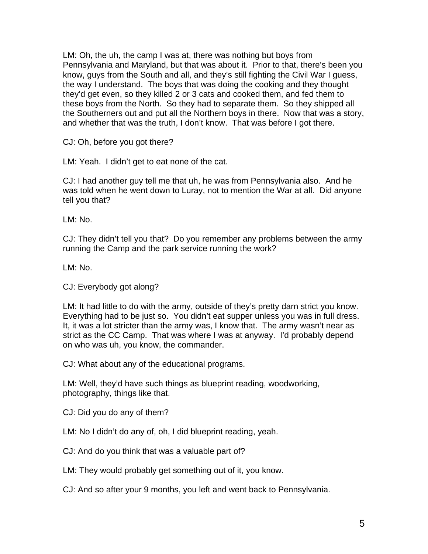LM: Oh, the uh, the camp I was at, there was nothing but boys from Pennsylvania and Maryland, but that was about it. Prior to that, there's been you know, guys from the South and all, and they's still fighting the Civil War I guess, the way I understand. The boys that was doing the cooking and they thought they'd get even, so they killed 2 or 3 cats and cooked them, and fed them to these boys from the North. So they had to separate them. So they shipped all the Southerners out and put all the Northern boys in there. Now that was a story, and whether that was the truth, I don't know. That was before I got there.

CJ: Oh, before you got there?

LM: Yeah. I didn't get to eat none of the cat.

CJ: I had another guy tell me that uh, he was from Pennsylvania also. And he was told when he went down to Luray, not to mention the War at all. Did anyone tell you that?

LM: No.

CJ: They didn't tell you that? Do you remember any problems between the army running the Camp and the park service running the work?

LM: No.

CJ: Everybody got along?

LM: It had little to do with the army, outside of they's pretty darn strict you know. Everything had to be just so. You didn't eat supper unless you was in full dress. It, it was a lot stricter than the army was, I know that. The army wasn't near as strict as the CC Camp. That was where I was at anyway. I'd probably depend on who was uh, you know, the commander.

CJ: What about any of the educational programs.

LM: Well, they'd have such things as blueprint reading, woodworking, photography, things like that.

CJ: Did you do any of them?

LM: No I didn't do any of, oh, I did blueprint reading, yeah.

CJ: And do you think that was a valuable part of?

LM: They would probably get something out of it, you know.

CJ: And so after your 9 months, you left and went back to Pennsylvania.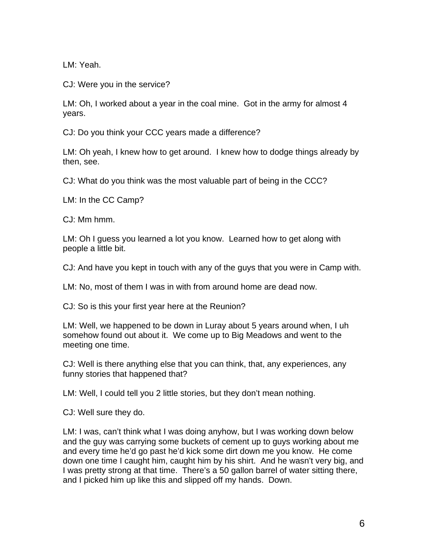LM: Yeah.

CJ: Were you in the service?

LM: Oh, I worked about a year in the coal mine. Got in the army for almost 4 years.

CJ: Do you think your CCC years made a difference?

LM: Oh yeah, I knew how to get around. I knew how to dodge things already by then, see.

CJ: What do you think was the most valuable part of being in the CCC?

LM: In the CC Camp?

CJ: Mm hmm.

LM: Oh I guess you learned a lot you know. Learned how to get along with people a little bit.

CJ: And have you kept in touch with any of the guys that you were in Camp with.

LM: No, most of them I was in with from around home are dead now.

CJ: So is this your first year here at the Reunion?

LM: Well, we happened to be down in Luray about 5 years around when, I uh somehow found out about it. We come up to Big Meadows and went to the meeting one time.

CJ: Well is there anything else that you can think, that, any experiences, any funny stories that happened that?

LM: Well, I could tell you 2 little stories, but they don't mean nothing.

CJ: Well sure they do.

LM: I was, can't think what I was doing anyhow, but I was working down below and the guy was carrying some buckets of cement up to guys working about me and every time he'd go past he'd kick some dirt down me you know. He come down one time I caught him, caught him by his shirt. And he wasn't very big, and I was pretty strong at that time. There's a 50 gallon barrel of water sitting there, and I picked him up like this and slipped off my hands. Down.